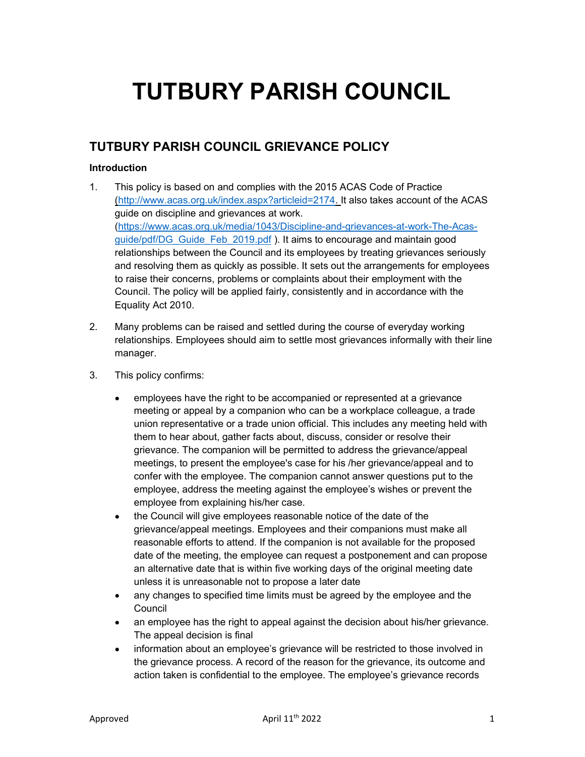# TUTBURY PARISH COUNCIL

# TUTBURY PARISH COUNCIL GRIEVANCE POLICY

# Introduction

- 1. This policy is based on and complies with the 2015 ACAS Code of Practice (http://www.acas.org.uk/index.aspx?articleid=2174. It also takes account of the ACAS guide on discipline and grievances at work. (https://www.acas.org.uk/media/1043/Discipline-and-grievances-at-work-The-Acasguide/pdf/DG\_Guide\_Feb\_2019.pdf ). It aims to encourage and maintain good relationships between the Council and its employees by treating grievances seriously and resolving them as quickly as possible. It sets out the arrangements for employees to raise their concerns, problems or complaints about their employment with the Council. The policy will be applied fairly, consistently and in accordance with the Equality Act 2010.
- 2. Many problems can be raised and settled during the course of everyday working relationships. Employees should aim to settle most grievances informally with their line manager.
- 3. This policy confirms:
	- employees have the right to be accompanied or represented at a grievance meeting or appeal by a companion who can be a workplace colleague, a trade union representative or a trade union official. This includes any meeting held with them to hear about, gather facts about, discuss, consider or resolve their grievance. The companion will be permitted to address the grievance/appeal meetings, to present the employee's case for his /her grievance/appeal and to confer with the employee. The companion cannot answer questions put to the employee, address the meeting against the employee's wishes or prevent the employee from explaining his/her case.
	- the Council will give employees reasonable notice of the date of the grievance/appeal meetings. Employees and their companions must make all reasonable efforts to attend. If the companion is not available for the proposed date of the meeting, the employee can request a postponement and can propose an alternative date that is within five working days of the original meeting date unless it is unreasonable not to propose a later date
	- any changes to specified time limits must be agreed by the employee and the **Council**
	- an employee has the right to appeal against the decision about his/her grievance. The appeal decision is final
	- information about an employee's grievance will be restricted to those involved in the grievance process. A record of the reason for the grievance, its outcome and action taken is confidential to the employee. The employee's grievance records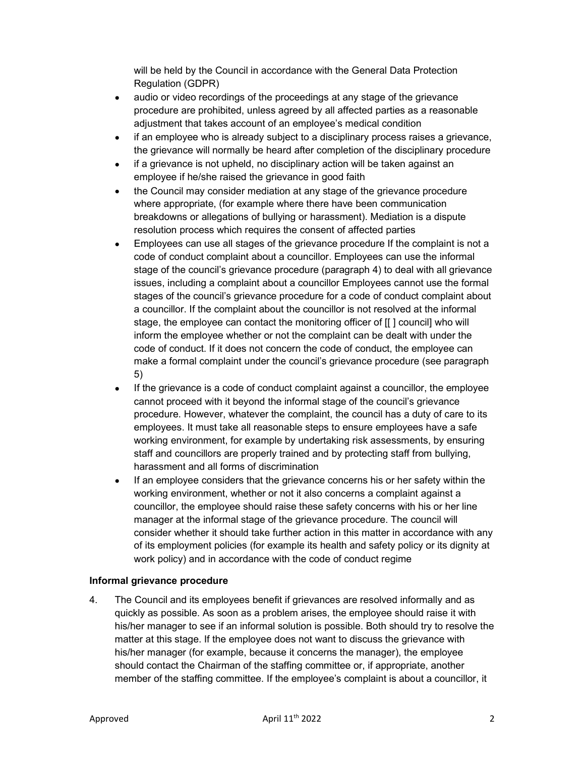will be held by the Council in accordance with the General Data Protection Regulation (GDPR)

- audio or video recordings of the proceedings at any stage of the grievance procedure are prohibited, unless agreed by all affected parties as a reasonable adjustment that takes account of an employee's medical condition
- if an employee who is already subject to a disciplinary process raises a grievance, the grievance will normally be heard after completion of the disciplinary procedure
- if a grievance is not upheld, no disciplinary action will be taken against an employee if he/she raised the grievance in good faith
- the Council may consider mediation at any stage of the grievance procedure where appropriate, (for example where there have been communication breakdowns or allegations of bullying or harassment). Mediation is a dispute resolution process which requires the consent of affected parties
- Employees can use all stages of the grievance procedure If the complaint is not a code of conduct complaint about a councillor. Employees can use the informal stage of the council's grievance procedure (paragraph 4) to deal with all grievance issues, including a complaint about a councillor Employees cannot use the formal stages of the council's grievance procedure for a code of conduct complaint about a councillor. If the complaint about the councillor is not resolved at the informal stage, the employee can contact the monitoring officer of [[ ] council] who will inform the employee whether or not the complaint can be dealt with under the code of conduct. If it does not concern the code of conduct, the employee can make a formal complaint under the council's grievance procedure (see paragraph 5)
- If the grievance is a code of conduct complaint against a councillor, the employee cannot proceed with it beyond the informal stage of the council's grievance procedure. However, whatever the complaint, the council has a duty of care to its employees. It must take all reasonable steps to ensure employees have a safe working environment, for example by undertaking risk assessments, by ensuring staff and councillors are properly trained and by protecting staff from bullying, harassment and all forms of discrimination
- If an employee considers that the grievance concerns his or her safety within the working environment, whether or not it also concerns a complaint against a councillor, the employee should raise these safety concerns with his or her line manager at the informal stage of the grievance procedure. The council will consider whether it should take further action in this matter in accordance with any of its employment policies (for example its health and safety policy or its dignity at work policy) and in accordance with the code of conduct regime

### Informal grievance procedure

4. The Council and its employees benefit if grievances are resolved informally and as quickly as possible. As soon as a problem arises, the employee should raise it with his/her manager to see if an informal solution is possible. Both should try to resolve the matter at this stage. If the employee does not want to discuss the grievance with his/her manager (for example, because it concerns the manager), the employee should contact the Chairman of the staffing committee or, if appropriate, another member of the staffing committee. If the employee's complaint is about a councillor, it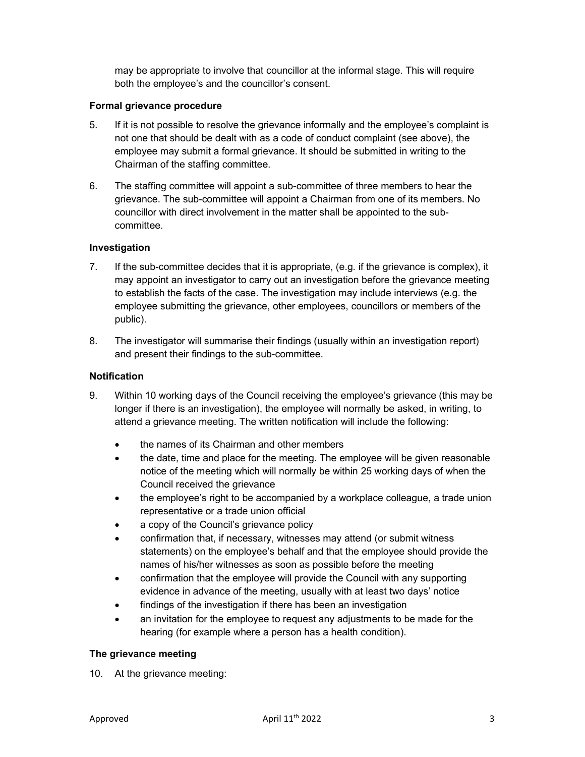may be appropriate to involve that councillor at the informal stage. This will require both the employee's and the councillor's consent.

# Formal grievance procedure

- 5. If it is not possible to resolve the grievance informally and the employee's complaint is not one that should be dealt with as a code of conduct complaint (see above), the employee may submit a formal grievance. It should be submitted in writing to the Chairman of the staffing committee.
- 6. The staffing committee will appoint a sub-committee of three members to hear the grievance. The sub-committee will appoint a Chairman from one of its members. No councillor with direct involvement in the matter shall be appointed to the subcommittee.

# Investigation

- 7. If the sub-committee decides that it is appropriate, (e.g. if the grievance is complex), it may appoint an investigator to carry out an investigation before the grievance meeting to establish the facts of the case. The investigation may include interviews (e.g. the employee submitting the grievance, other employees, councillors or members of the public).
- 8. The investigator will summarise their findings (usually within an investigation report) and present their findings to the sub-committee.

### **Notification**

- 9. Within 10 working days of the Council receiving the employee's grievance (this may be longer if there is an investigation), the employee will normally be asked, in writing, to attend a grievance meeting. The written notification will include the following:
	- the names of its Chairman and other members
	- the date, time and place for the meeting. The employee will be given reasonable notice of the meeting which will normally be within 25 working days of when the Council received the grievance
	- the employee's right to be accompanied by a workplace colleague, a trade union representative or a trade union official
	- a copy of the Council's grievance policy
	- confirmation that, if necessary, witnesses may attend (or submit witness statements) on the employee's behalf and that the employee should provide the names of his/her witnesses as soon as possible before the meeting
	- confirmation that the employee will provide the Council with any supporting evidence in advance of the meeting, usually with at least two days' notice
	- findings of the investigation if there has been an investigation
	- an invitation for the employee to request any adjustments to be made for the hearing (for example where a person has a health condition).

### The grievance meeting

10. At the grievance meeting: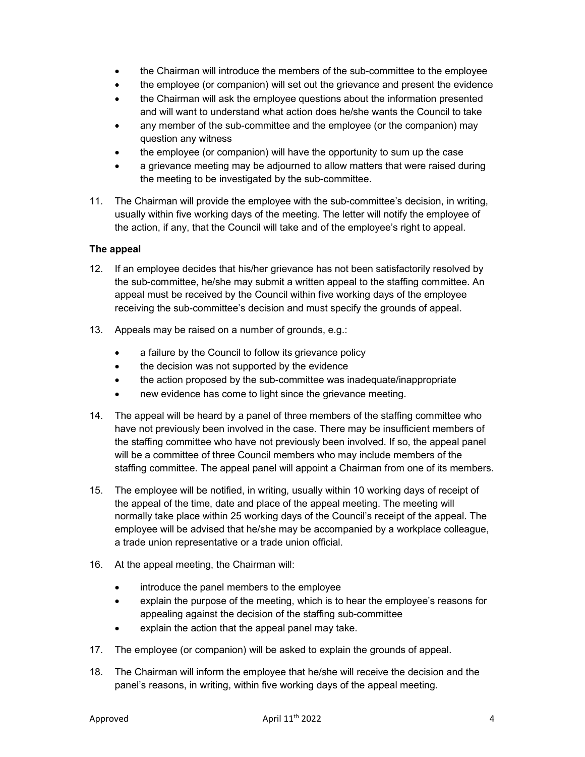- the Chairman will introduce the members of the sub-committee to the employee
- the employee (or companion) will set out the grievance and present the evidence
- the Chairman will ask the employee questions about the information presented and will want to understand what action does he/she wants the Council to take
- any member of the sub-committee and the employee (or the companion) may question any witness
- the employee (or companion) will have the opportunity to sum up the case
- a grievance meeting may be adjourned to allow matters that were raised during the meeting to be investigated by the sub-committee.
- 11. The Chairman will provide the employee with the sub-committee's decision, in writing, usually within five working days of the meeting. The letter will notify the employee of the action, if any, that the Council will take and of the employee's right to appeal.

### The appeal

- 12. If an employee decides that his/her grievance has not been satisfactorily resolved by the sub-committee, he/she may submit a written appeal to the staffing committee. An appeal must be received by the Council within five working days of the employee receiving the sub-committee's decision and must specify the grounds of appeal.
- 13. Appeals may be raised on a number of grounds, e.g.:
	- a failure by the Council to follow its grievance policy
	- the decision was not supported by the evidence
	- the action proposed by the sub-committee was inadequate/inappropriate
	- new evidence has come to light since the grievance meeting.
- 14. The appeal will be heard by a panel of three members of the staffing committee who have not previously been involved in the case. There may be insufficient members of the staffing committee who have not previously been involved. If so, the appeal panel will be a committee of three Council members who may include members of the staffing committee. The appeal panel will appoint a Chairman from one of its members.
- 15. The employee will be notified, in writing, usually within 10 working days of receipt of the appeal of the time, date and place of the appeal meeting. The meeting will normally take place within 25 working days of the Council's receipt of the appeal. The employee will be advised that he/she may be accompanied by a workplace colleague, a trade union representative or a trade union official.
- 16. At the appeal meeting, the Chairman will:
	- introduce the panel members to the employee
	- explain the purpose of the meeting, which is to hear the employee's reasons for appealing against the decision of the staffing sub-committee
	- explain the action that the appeal panel may take.
- 17. The employee (or companion) will be asked to explain the grounds of appeal.
- 18. The Chairman will inform the employee that he/she will receive the decision and the panel's reasons, in writing, within five working days of the appeal meeting.